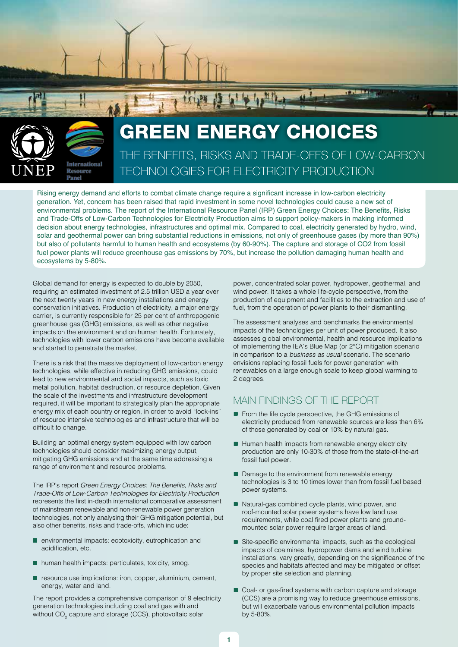

# THE BENEFITS, RISKS AND TRADE-OFFS OF LOW-CARBON TECHNOLOGIES FOR ELECTRICITY PRODUCTION GREEN ENERGY CHOICES

la lo la Mille

Rising energy demand and efforts to combat climate change require a significant increase in low-carbon electricity generation. Yet, concern has been raised that rapid investment in some novel technologies could cause a new set of environmental problems. The report of the International Resource Panel (IRP) Green Energy Choices: The Benefits, Risks and Trade-Offs of Low-Carbon Technologies for Electricity Production aims to support policy-makers in making informed decision about energy technologies, infrastructures and optimal mix. Compared to coal, electricity generated by hydro, wind, solar and geothermal power can bring substantial reductions in emissions, not only of greenhouse gases (by more than 90%) but also of pollutants harmful to human health and ecosystems (by 60-90%). The capture and storage of CO2 from fossil fuel power plants will reduce greenhouse gas emissions by 70%, but increase the pollution damaging human health and ecosystems by 5-80%.

Global demand for energy is expected to double by 2050, requiring an estimated investment of 2.5 trillion USD a year over the next twenty years in new energy installations and energy conservation initiatives. Production of electricity, a major energy carrier, is currently responsible for 25 per cent of anthropogenic greenhouse gas (GHG) emissions, as well as other negative impacts on the environment and on human health. Fortunately, technologies with lower carbon emissions have become available and started to penetrate the market.

There is a risk that the massive deployment of low-carbon energy technologies, while effective in reducing GHG emissions, could lead to new environmental and social impacts, such as toxic metal pollution, habitat destruction, or resource depletion. Given the scale of the investments and infrastructure development required, it will be important to strategically plan the appropriate energy mix of each country or region, in order to avoid "lock-ins" of resource intensive technologies and infrastructure that will be difficult to change.

Building an optimal energy system equipped with low carbon technologies should consider maximizing energy output, mitigating GHG emissions and at the same time addressing a range of environment and resource problems.

The IRP's report Green Energy Choices: The Benefits, Risks and Trade-Offs of Low-Carbon Technologies for Electricity Production represents the first in-depth international comparative assessment of mainstream renewable and non-renewable power generation technologies, not only analysing their GHG mitigation potential, but also other benefits, risks and trade-offs, which include:

- $\blacksquare$  environmental impacts: ecotoxicity, eutrophication and acidification, etc.
- $\blacksquare$  human health impacts: particulates, toxicity, smog.
- $\blacksquare$  resource use implications: iron, copper, aluminium, cement, energy, water and land.

The report provides a comprehensive comparison of 9 electricity generation technologies including coal and gas with and without  $\mathsf{CO}_2$  capture and storage (CCS), photovoltaic solar

power, concentrated solar power, hydropower, geothermal, and wind power. It takes a whole life-cycle perspective, from the production of equipment and facilities to the extraction and use of fuel, from the operation of power plants to their dismantling.

The assessment analyses and benchmarks the environmental impacts of the technologies per unit of power produced. It also assesses global environmental, health and resource implications of implementing the IEA's Blue Map (or 2°C) mitigation scenario in comparison to a business as usual scenario. The scenario envisions replacing fossil fuels for power generation with renewables on a large enough scale to keep global warming to 2 degrees.

# MAIN FINDINGS OF THE REPORT

- From the life cycle perspective, the GHG emissions of electricity produced from renewable sources are less than 6% of those generated by coal or 10% by natural gas.
- $\blacksquare$  Human health impacts from renewable energy electricity production are only 10-30% of those from the state-of-the-art fossil fuel power.
- Damage to the environment from renewable energy technologies is 3 to 10 times lower than from fossil fuel based power systems.
- $\blacksquare$  Natural-gas combined cycle plants, wind power, and roof-mounted solar power systems have low land use requirements, while coal fired power plants and groundmounted solar power require larger areas of land.
- Site-specific environmental impacts, such as the ecological impacts of coalmines, hydropower dams and wind turbine installations, vary greatly, depending on the significance of the species and habitats affected and may be mitigated or offset by proper site selection and planning.
- Coal- or gas-fired systems with carbon capture and storage (CCS) are a promising way to reduce greenhouse emissions, but will exacerbate various environmental pollution impacts by 5-80%.